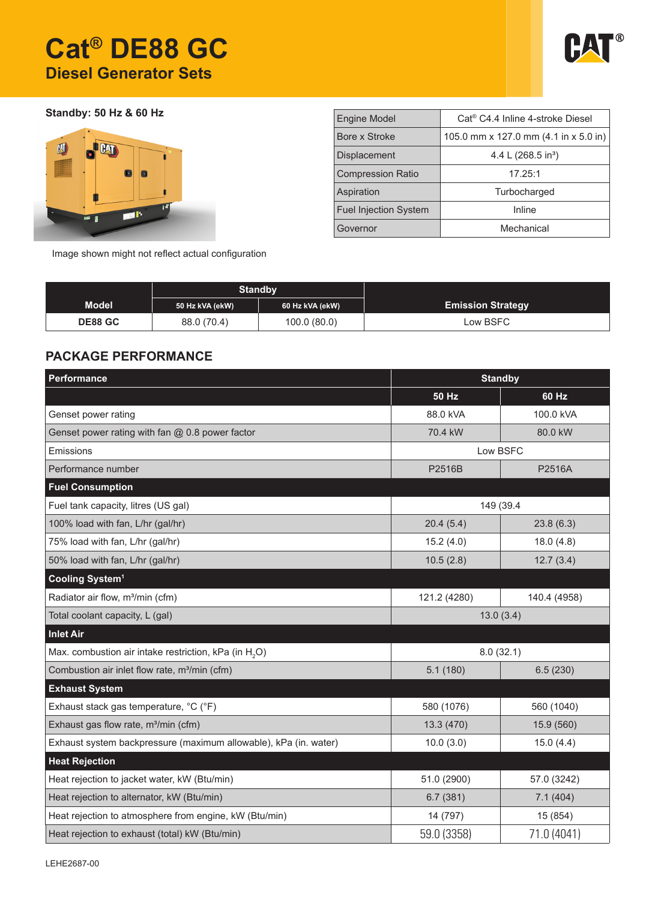# **Cat® DE88 GC Diesel Generator Sets**



**Standby: 50 Hz & 60 Hz**



| <b>Engine Model</b>          | Cat <sup>®</sup> C4.4 Inline 4-stroke Diesel |  |  |  |  |
|------------------------------|----------------------------------------------|--|--|--|--|
| Bore x Stroke                | 105.0 mm x 127.0 mm (4.1 in x 5.0 in)        |  |  |  |  |
| <b>Displacement</b>          | 4.4 L $(268.5 \text{ in}^3)$                 |  |  |  |  |
| <b>Compression Ratio</b>     | 17.25:1                                      |  |  |  |  |
| Aspiration                   | Turbocharged                                 |  |  |  |  |
| <b>Fuel Injection System</b> | Inline                                       |  |  |  |  |
| Governor                     | Mechanical                                   |  |  |  |  |

Image shown might not reflect actual configuration

|                | <b>Standby</b>  |                 |                          |
|----------------|-----------------|-----------------|--------------------------|
| <b>Model</b>   | 50 Hz kVA (ekW) | 60 Hz kVA (ekW) | <b>Emission Strategy</b> |
| <b>DE88 GC</b> | 88.0 (70.4)     | 100.0(80.0)     | Low BSFC                 |

### **PACKAGE PERFORMANCE**

| Performance                                                       | <b>Standby</b>       |              |  |
|-------------------------------------------------------------------|----------------------|--------------|--|
|                                                                   | 50 Hz                | 60 Hz        |  |
| Genset power rating                                               | 88.0 kVA             | 100.0 kVA    |  |
| Genset power rating with fan $@$ 0.8 power factor                 | 70.4 kW              | 80.0 kW      |  |
| Emissions                                                         | Low BSFC             |              |  |
| Performance number                                                | P2516B               | P2516A       |  |
| <b>Fuel Consumption</b>                                           |                      |              |  |
| Fuel tank capacity, litres (US gal)                               | 149 (39.4            |              |  |
| 100% load with fan, L/hr (gal/hr)                                 | 20.4(5.4)            | 23.8(6.3)    |  |
| 75% load with fan, L/hr (gal/hr)                                  | 15.2(4.0)            | 18.0(4.8)    |  |
| 50% load with fan, L/hr (gal/hr)                                  | 10.5(2.8)            | 12.7(3.4)    |  |
| Cooling System <sup>1</sup>                                       |                      |              |  |
| Radiator air flow, m <sup>3</sup> /min (cfm)                      | 121.2 (4280)         | 140.4 (4958) |  |
| Total coolant capacity, L (gal)                                   | 13.0(3.4)            |              |  |
| <b>Inlet Air</b>                                                  |                      |              |  |
| Max. combustion air intake restriction, kPa (in H <sub>2</sub> O) | 8.0(32.1)            |              |  |
| Combustion air inlet flow rate, m <sup>3</sup> /min (cfm)         | 5.1(180)<br>6.5(230) |              |  |
| <b>Exhaust System</b>                                             |                      |              |  |
| Exhaust stack gas temperature, °C (°F)                            | 580 (1076)           | 560 (1040)   |  |
| Exhaust gas flow rate, m <sup>3</sup> /min (cfm)                  | 13.3 (470)           | 15.9 (560)   |  |
| Exhaust system backpressure (maximum allowable), kPa (in. water)  | 10.0(3.0)            | 15.0(4.4)    |  |
| <b>Heat Rejection</b>                                             |                      |              |  |
| Heat rejection to jacket water, kW (Btu/min)                      | 51.0 (2900)          | 57.0 (3242)  |  |
| Heat rejection to alternator, kW (Btu/min)                        | 6.7(381)             | 7.1(404)     |  |
| Heat rejection to atmosphere from engine, kW (Btu/min)            | 14 (797)             | 15 (854)     |  |
| Heat rejection to exhaust (total) kW (Btu/min)                    | 59.0 (3358)          | 71.0 (4041)  |  |